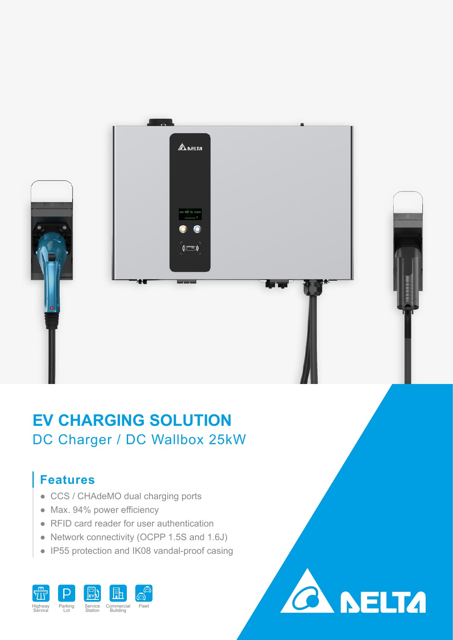



# **EV CHARGING SOLUTION** DC Charger / DC Wallbox 25kW

## **Features**

- CCS / CHAdeMO dual charging ports
- Max. 94% power efficiency
- RFID card reader for user authentication
- Network connectivity (OCPP 1.5S and 1.6J)
- IP55 protection and IK08 vandal-proof casing

**CA NELTA**